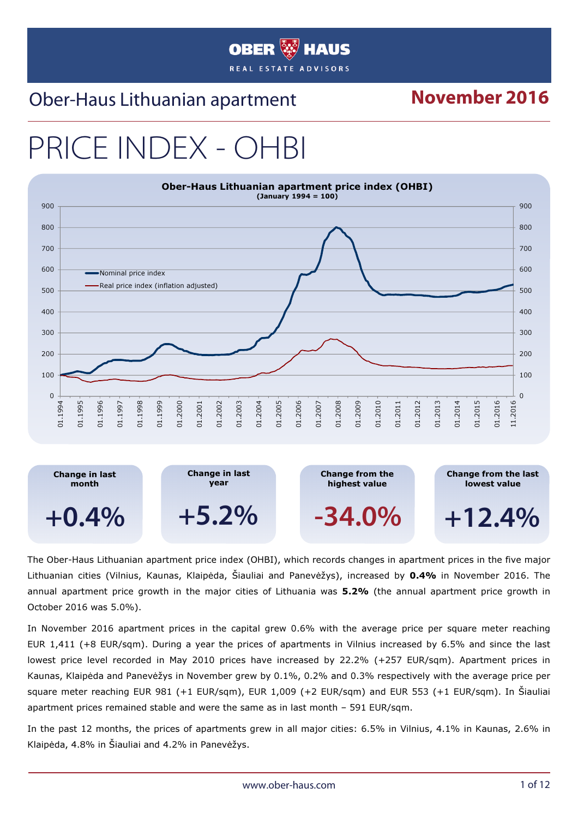#### **OBER HAUS** REAL ESTATE ADVISORS

#### Ober-Haus Lithuanian apartment **November 2016**

# PRICE INDEX - C



The Ober-Haus Lithuanian apartment price index (OHBI), which records changes in apartment prices in the five major Lithuanian cities (Vilnius, Kaunas, Klaipėda, Šiauliai and Panevėžys), increased by 0.4% in November 2016. The annual apartment price growth in the major cities of Lithuania was 5.2% (the annual apartment price growth in October 2016 was 5.0%).

In November 2016 apartment prices in the capital grew 0.6% with the average price per square meter reaching EUR 1,411 (+8 EUR/sqm). During a year the prices of apartments in Vilnius increased by 6.5% and since the last lowest price level recorded in May 2010 prices have increased by 22.2% (+257 EUR/sqm). Apartment prices in Kaunas, Klaipėda and Panevėžys in November grew by 0.1%, 0.2% and 0.3% respectively with the average price per square meter reaching EUR 981 (+1 EUR/sqm), EUR 1,009 (+2 EUR/sqm) and EUR 553 (+1 EUR/sqm). In Šiauliai apartment prices remained stable and were the same as in last month – 591 EUR/sqm.

In the past 12 months, the prices of apartments grew in all major cities: 6.5% in Vilnius, 4.1% in Kaunas, 2.6% in Klaipėda, 4.8% in Šiauliai and 4.2% in Panevėžys.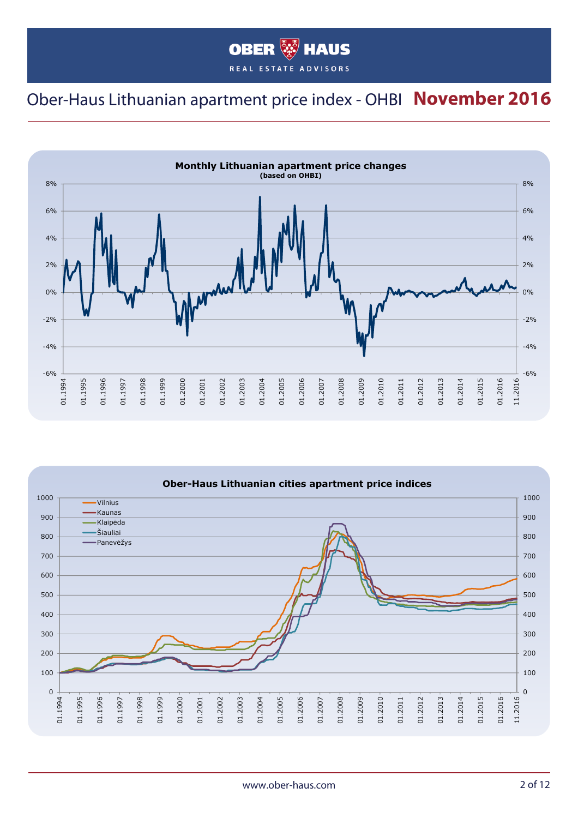#### **OBER WE HAUS** REAL ESTATE ADVISORS

#### Ober-Haus Lithuanian apartment price index - OHBI **November 2016**



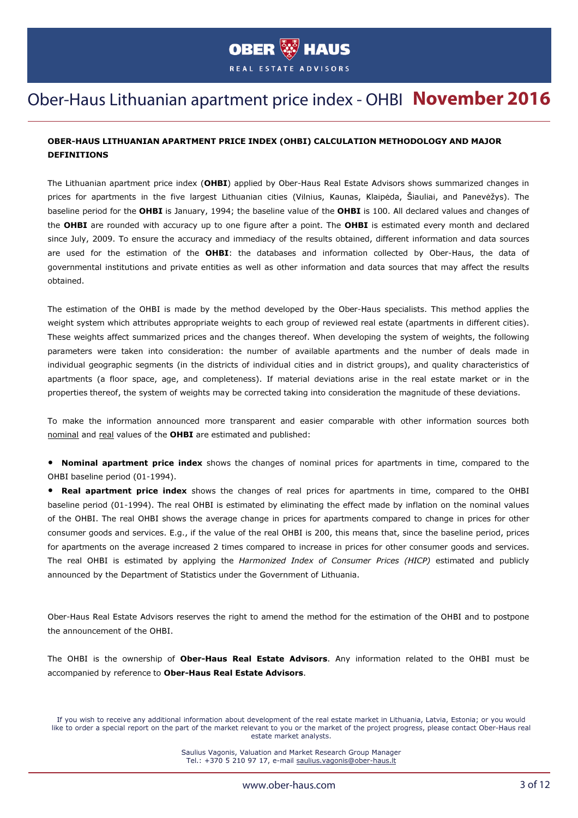

#### Ober-Haus Lithuanian apartment price index - OHBI **November 2016**

#### OBER-HAUS LITHUANIAN APARTMENT PRICE INDEX (OHBI) CALCULATION METHODOLOGY AND MAJOR DEFINITIONS

The Lithuanian apartment price index (OHBI) applied by Ober-Haus Real Estate Advisors shows summarized changes in prices for apartments in the five largest Lithuanian cities (Vilnius, Kaunas, Klaipėda, Šiauliai, and Panevėžys). The baseline period for the OHBI is January, 1994; the baseline value of the OHBI is 100. All declared values and changes of the OHBI are rounded with accuracy up to one figure after a point. The OHBI is estimated every month and declared since July, 2009. To ensure the accuracy and immediacy of the results obtained, different information and data sources are used for the estimation of the OHBI: the databases and information collected by Ober-Haus, the data of governmental institutions and private entities as well as other information and data sources that may affect the results obtained.

The estimation of the OHBI is made by the method developed by the Ober-Haus specialists. This method applies the weight system which attributes appropriate weights to each group of reviewed real estate (apartments in different cities). These weights affect summarized prices and the changes thereof. When developing the system of weights, the following parameters were taken into consideration: the number of available apartments and the number of deals made in individual geographic segments (in the districts of individual cities and in district groups), and quality characteristics of apartments (a floor space, age, and completeness). If material deviations arise in the real estate market or in the properties thereof, the system of weights may be corrected taking into consideration the magnitude of these deviations.

To make the information announced more transparent and easier comparable with other information sources both nominal and real values of the OHBI are estimated and published:

• Nominal apartment price index shows the changes of nominal prices for apartments in time, compared to the OHBI baseline period (01-1994).

• Real apartment price index shows the changes of real prices for apartments in time, compared to the OHBI baseline period (01-1994). The real OHBI is estimated by eliminating the effect made by inflation on the nominal values of the OHBI. The real OHBI shows the average change in prices for apartments compared to change in prices for other consumer goods and services. E.g., if the value of the real OHBI is 200, this means that, since the baseline period, prices for apartments on the average increased 2 times compared to increase in prices for other consumer goods and services. The real OHBI is estimated by applying the Harmonized Index of Consumer Prices (HICP) estimated and publicly announced by the Department of Statistics under the Government of Lithuania.

Ober-Haus Real Estate Advisors reserves the right to amend the method for the estimation of the OHBI and to postpone the announcement of the OHBI.

The OHBI is the ownership of Ober-Haus Real Estate Advisors. Any information related to the OHBI must be accompanied by reference to Ober-Haus Real Estate Advisors.

Saulius Vagonis, Valuation and Market Research Group Manager Tel.: +370 5 210 97 17, e-mail saulius.vagonis@ober-haus.lt

If you wish to receive any additional information about development of the real estate market in Lithuania, Latvia, Estonia; or you would like to order a special report on the part of the market relevant to you or the market of the project progress, please contact Ober-Haus real estate market analysts.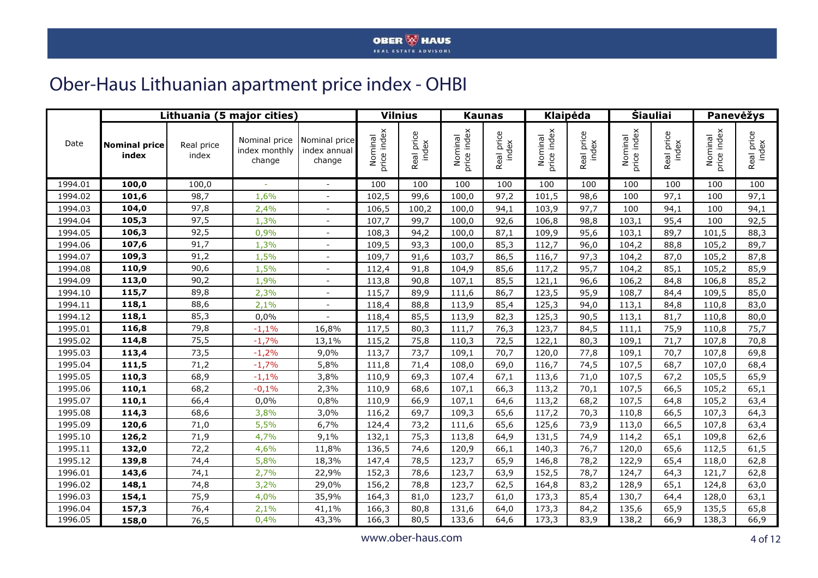#### Ober-Haus Lithuanian apartment price index - OHBI

|         |                               |                     | Lithuania (5 major cities)               |                                         |                        | <b>Vilnius</b>      |                        | <b>Kaunas</b>       |                        | <b>Klaipėda</b>     |                        | <b>Siauliai</b>     |                        | <b>Panevėžys</b>    |
|---------|-------------------------------|---------------------|------------------------------------------|-----------------------------------------|------------------------|---------------------|------------------------|---------------------|------------------------|---------------------|------------------------|---------------------|------------------------|---------------------|
| Date    | <b>Nominal price</b><br>index | Real price<br>index | Nominal price<br>index monthly<br>change | Nominal price<br>index annual<br>change | Nominal<br>price index | Real price<br>index | Nominal<br>price index | Real price<br>index | Nominal<br>price index | Real price<br>index | Nominal<br>price index | Real price<br>index | Nominal<br>price index | Real price<br>index |
| 1994.01 | 100,0                         | 100,0               |                                          | $\sim$                                  | 100                    | 100                 | 100                    | 100                 | 100                    | 100                 | 100                    | 100                 | 100                    | 100                 |
| 1994.02 | 101,6                         | 98,7                | 1,6%                                     | $\sim$                                  | 102,5                  | 99,6                | 100,0                  | 97,2                | 101,5                  | 98,6                | 100                    | 97,1                | 100                    | 97,1                |
| 1994.03 | 104,0                         | 97,8                | 2,4%                                     |                                         | 106,5                  | 100,2               | 100,0                  | 94,1                | 103,9                  | 97,7                | 100                    | 94,1                | 100                    | 94,1                |
| 1994.04 | 105,3                         | 97,5                | 1,3%                                     |                                         | 107,7                  | 99,7                | 100,0                  | 92,6                | 106,8                  | 98,8                | 103,1                  | 95,4                | 100                    | 92,5                |
| 1994.05 | 106,3                         | 92,5                | 0,9%                                     |                                         | 108,3                  | 94,2                | 100,0                  | 87,1                | 109,9                  | 95,6                | 103,1                  | 89,7                | 101,5                  | 88,3                |
| 1994.06 | 107,6                         | 91,7                | 1,3%                                     |                                         | 109,5                  | 93,3                | 100,0                  | 85,3                | 112,7                  | 96,0                | 104,2                  | 88,8                | 105,2                  | 89,7                |
| 1994.07 | 109,3                         | 91,2                | 1,5%                                     |                                         | 109,7                  | 91,6                | 103,7                  | 86,5                | 116,7                  | 97,3                | 104,2                  | 87,0                | 105,2                  | 87,8                |
| 1994.08 | 110,9                         | 90,6                | 1,5%                                     |                                         | 112,4                  | 91,8                | 104,9                  | 85,6                | 117,2                  | 95,7                | 104,2                  | 85,1                | 105,2                  | 85,9                |
| 1994.09 | 113,0                         | 90,2                | 1,9%                                     | $\sim$                                  | 113,8                  | 90,8                | 107,1                  | 85,5                | 121,1                  | 96,6                | 106,2                  | 84,8                | 106,8                  | 85,2                |
| 1994.10 | 115,7                         | 89,8                | 2,3%                                     | $\sim$                                  | 115,7                  | 89,9                | 111,6                  | 86,7                | 123,5                  | 95,9                | 108,7                  | 84,4                | 109,5                  | 85,0                |
| 1994.11 | 118,1                         | 88,6                | 2,1%                                     |                                         | 118,4                  | 88,8                | 113,9                  | 85,4                | 125,3                  | 94,0                | 113,1                  | 84,8                | 110,8                  | 83,0                |
| 1994.12 | 118,1                         | 85,3                | 0,0%                                     |                                         | 118,4                  | 85,5                | 113,9                  | 82,3                | 125,3                  | 90,5                | 113,1                  | 81,7                | 110,8                  | 80,0                |
| 1995.01 | 116,8                         | 79,8                | $-1,1%$                                  | 16,8%                                   | 117,5                  | 80,3                | 111,7                  | 76,3                | 123,7                  | 84,5                | 111,1                  | 75,9                | 110,8                  | 75,7                |
| 1995.02 | 114,8                         | 75,5                | $-1,7%$                                  | 13,1%                                   | 115,2                  | 75,8                | 110,3                  | 72,5                | 122,1                  | 80,3                | 109,1                  | 71,7                | 107,8                  | 70,8                |
| 1995.03 | 113,4                         | 73,5                | $-1,2%$                                  | 9,0%                                    | 113,7                  | 73,7                | 109,1                  | 70,7                | 120,0                  | 77,8                | 109,1                  | 70,7                | 107,8                  | 69,8                |
| 1995.04 | 111,5                         | 71,2                | $-1,7%$                                  | 5,8%                                    | 111,8                  | 71,4                | 108,0                  | 69,0                | 116,7                  | 74,5                | 107,5                  | 68,7                | 107,0                  | 68,4                |
| 1995.05 | 110,3                         | 68,9                | $-1,1%$                                  | 3,8%                                    | 110,9                  | 69,3                | 107,4                  | 67,1                | 113,6                  | 71,0                | 107,5                  | 67,2                | 105,5                  | 65,9                |
| 1995.06 | 110,1                         | 68,2                | $-0,1%$                                  | 2,3%                                    | 110,9                  | 68,6                | 107,1                  | 66,3                | 113,2                  | 70,1                | 107,5                  | 66,5                | 105,2                  | 65,1                |
| 1995.07 | 110,1                         | 66,4                | 0,0%                                     | 0,8%                                    | 110,9                  | 66,9                | 107,1                  | 64,6                | 113,2                  | 68,2                | 107,5                  | 64,8                | 105,2                  | 63,4                |
| 1995.08 | 114,3                         | 68,6                | 3,8%                                     | 3,0%                                    | 116,2                  | 69,7                | 109,3                  | 65,6                | 117,2                  | 70,3                | 110,8                  | 66,5                | 107,3                  | 64,3                |
| 1995.09 | 120,6                         | 71,0                | 5,5%                                     | 6,7%                                    | 124,4                  | 73,2                | 111,6                  | 65,6                | 125,6                  | 73,9                | 113,0                  | 66,5                | 107,8                  | 63,4                |
| 1995.10 | 126,2                         | 71,9                | 4,7%                                     | 9,1%                                    | 132,1                  | 75,3                | 113,8                  | 64,9                | 131,5                  | 74,9                | 114,2                  | 65,1                | 109,8                  | 62,6                |
| 1995.11 | 132,0                         | 72,2                | 4,6%                                     | 11,8%                                   | 136,5                  | 74,6                | 120,9                  | 66,1                | 140,3                  | 76,7                | 120,0                  | 65,6                | 112,5                  | 61,5                |
| 1995.12 | 139,8                         | 74,4                | 5,8%                                     | 18,3%                                   | 147,4                  | 78,5                | 123,7                  | 65,9                | 146,8                  | 78,2                | 122,9                  | 65,4                | 118,0                  | 62,8                |
| 1996.01 | 143,6                         | 74,1                | 2,7%                                     | 22,9%                                   | 152,3                  | 78,6                | 123,7                  | 63,9                | 152,5                  | 78,7                | 124,7                  | 64,3                | 121,7                  | 62,8                |
| 1996.02 | 148,1                         | 74,8                | 3,2%                                     | 29,0%                                   | 156,2                  | 78,8                | 123,7                  | 62,5                | 164,8                  | 83,2                | 128,9                  | 65,1                | 124,8                  | 63,0                |
| 1996.03 | 154,1                         | 75,9                | 4,0%                                     | 35,9%                                   | 164,3                  | 81,0                | 123,7                  | 61,0                | 173,3                  | 85,4                | 130,7                  | 64,4                | 128,0                  | 63,1                |
| 1996.04 | 157,3                         | 76,4                | 2,1%                                     | 41,1%                                   | 166,3                  | 80,8                | 131,6                  | 64,0                | 173,3                  | 84,2                | 135,6                  | 65,9                | 135,5                  | 65,8                |
| 1996.05 | 158,0                         | 76,5                | 0,4%                                     | 43,3%                                   | 166,3                  | 80,5                | 133,6                  | 64,6                | 173,3                  | 83,9                | 138,2                  | 66,9                | 138,3                  | 66,9                |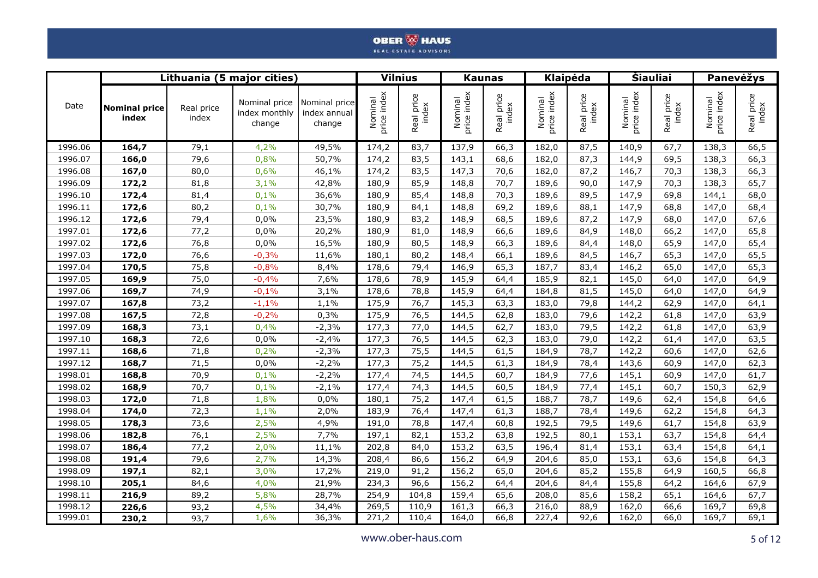|         |                               | Lithuania (5 major cities) |                                          |                                         |                        | <b>Vilnius</b>      |                        | <b>Kaunas</b>       |                        | <b>Klaipėda</b>     |                        | <b>Siauliai</b>     |                        | Panevėžys           |
|---------|-------------------------------|----------------------------|------------------------------------------|-----------------------------------------|------------------------|---------------------|------------------------|---------------------|------------------------|---------------------|------------------------|---------------------|------------------------|---------------------|
| Date    | <b>Nominal price</b><br>index | Real price<br>index        | Nominal price<br>index monthly<br>change | Nominal price<br>index annual<br>change | Nominal<br>price index | Real price<br>index | price index<br>Nominal | Real price<br>index | price index<br>Nominal | Real price<br>index | price index<br>Nominal | Real price<br>index | Nominal<br>price index | Real price<br>index |
| 1996.06 | 164,7                         | 79,1                       | 4,2%                                     | 49,5%                                   | 174,2                  | 83,7                | 137,9                  | 66,3                | 182,0                  | 87,5                | 140,9                  | 67,7                | 138,3                  | 66,5                |
| 1996.07 | 166,0                         | 79,6                       | 0,8%                                     | 50,7%                                   | 174,2                  | 83,5                | 143,1                  | 68,6                | 182,0                  | 87,3                | 144,9                  | 69,5                | 138,3                  | 66,3                |
| 1996.08 | 167,0                         | 80,0                       | 0,6%                                     | 46,1%                                   | 174,2                  | 83,5                | 147,3                  | 70,6                | 182,0                  | 87,2                | 146,7                  | 70,3                | 138,3                  | 66,3                |
| 1996.09 | 172,2                         | 81,8                       | 3,1%                                     | 42,8%                                   | 180,9                  | 85,9                | 148,8                  | 70,7                | 189,6                  | 90,0                | 147,9                  | 70,3                | 138,3                  | 65,7                |
| 1996.10 | 172,4                         | 81,4                       | 0,1%                                     | 36,6%                                   | 180,9                  | 85,4                | 148,8                  | 70,3                | 189,6                  | 89,5                | 147,9                  | 69,8                | 144,1                  | 68,0                |
| 1996.11 | 172,6                         | 80,2                       | 0,1%                                     | 30,7%                                   | 180,9                  | 84,1                | 148,8                  | 69,2                | 189,6                  | 88,1                | 147,9                  | 68,8                | 147,0                  | 68,4                |
| 1996.12 | 172,6                         | 79,4                       | 0,0%                                     | 23,5%                                   | 180,9                  | 83,2                | 148,9                  | 68,5                | 189,6                  | 87,2                | 147,9                  | 68,0                | 147,0                  | 67,6                |
| 1997.01 | 172,6                         | 77,2                       | 0,0%                                     | 20,2%                                   | 180,9                  | 81,0                | 148,9                  | 66,6                | 189,6                  | 84,9                | 148,0                  | 66,2                | 147,0                  | 65,8                |
| 1997.02 | 172,6                         | 76,8                       | 0,0%                                     | 16,5%                                   | 180,9                  | 80,5                | 148,9                  | 66,3                | 189,6                  | 84,4                | 148,0                  | 65,9                | 147,0                  | 65,4                |
| 1997.03 | 172,0                         | 76,6                       | $-0,3%$                                  | 11,6%                                   | 180,1                  | 80,2                | 148,4                  | 66,1                | 189,6                  | 84,5                | 146,7                  | 65,3                | 147,0                  | 65,5                |
| 1997.04 | 170,5                         | 75,8                       | $-0,8%$                                  | 8,4%                                    | 178,6                  | 79,4                | 146,9                  | 65,3                | 187,7                  | 83,4                | 146,2                  | 65,0                | 147,0                  | 65,3                |
| 1997.05 | 169,9                         | 75,0                       | $-0,4%$                                  | 7,6%                                    | 178,6                  | 78,9                | 145,9                  | 64,4                | 185,9                  | 82,1                | 145,0                  | 64,0                | 147,0                  | 64,9                |
| 1997.06 | 169,7                         | 74,9                       | $-0,1%$                                  | 3,1%                                    | 178,6                  | 78,8                | 145,9                  | 64,4                | 184,8                  | 81,5                | 145,0                  | 64,0                | 147,0                  | 64,9                |
| 1997.07 | 167,8                         | 73,2                       | $-1,1%$                                  | 1,1%                                    | 175,9                  | 76,7                | 145,3                  | 63,3                | 183,0                  | 79,8                | 144,2                  | 62,9                | 147,0                  | 64,1                |
| 1997.08 | 167,5                         | 72,8                       | $-0,2%$                                  | 0,3%                                    | 175,9                  | 76,5                | 144,5                  | 62,8                | 183,0                  | 79,6                | 142,2                  | 61,8                | 147,0                  | 63,9                |
| 1997.09 | 168,3                         | 73,1                       | 0,4%                                     | $-2,3%$                                 | 177,3                  | 77,0                | 144,5                  | 62,7                | 183,0                  | 79,5                | 142,2                  | 61,8                | 147,0                  | 63,9                |
| 1997.10 | 168,3                         | 72,6                       | 0,0%                                     | $-2,4%$                                 | 177,3                  | 76,5                | 144,5                  | 62,3                | 183,0                  | 79,0                | 142,2                  | 61,4                | 147,0                  | 63,5                |
| 1997.11 | 168,6                         | 71,8                       | 0,2%                                     | $-2,3%$                                 | 177,3                  | 75,5                | 144,5                  | 61,5                | 184,9                  | 78,7                | 142,2                  | 60,6                | 147,0                  | 62,6                |
| 1997.12 | 168,7                         | 71,5                       | 0,0%                                     | $-2,2%$                                 | 177,3                  | 75,2                | 144,5                  | 61,3                | 184,9                  | 78,4                | 143,6                  | 60,9                | 147,0                  | 62,3                |
| 1998.01 | 168,8                         | 70,9                       | 0,1%                                     | $-2,2%$                                 | 177,4                  | 74,5                | 144,5                  | 60,7                | 184,9                  | 77,6                | 145,1                  | 60,9                | 147,0                  | 61,7                |
| 1998.02 | 168,9                         | 70,7                       | 0,1%                                     | $-2,1%$                                 | 177,4                  | 74,3                | 144,5                  | 60,5                | 184,9                  | 77,4                | 145,1                  | 60,7                | 150,3                  | 62,9                |
| 1998.03 | 172,0                         | 71,8                       | 1,8%                                     | 0,0%                                    | 180,1                  | 75,2                | 147,4                  | 61,5                | 188,7                  | 78,7                | 149,6                  | 62,4                | 154,8                  | 64,6                |
| 1998.04 | 174,0                         | 72,3                       | 1,1%                                     | 2,0%                                    | 183,9                  | 76,4                | 147,4                  | 61,3                | 188,7                  | 78,4                | 149,6                  | 62,2                | 154,8                  | 64,3                |
| 1998.05 | 178,3                         | 73,6                       | 2,5%                                     | 4,9%                                    | 191,0                  | 78,8                | 147,4                  | 60,8                | 192,5                  | 79,5                | 149,6                  | 61,7                | 154,8                  | 63,9                |
| 1998.06 | 182,8                         | 76,1                       | 2,5%                                     | 7,7%                                    | 197,1                  | 82,1                | 153,2                  | 63,8                | 192,5                  | 80,1                | 153,1                  | 63,7                | 154,8                  | 64,4                |
| 1998.07 | 186,4                         | 77,2                       | 2,0%                                     | 11,1%                                   | 202,8                  | 84,0                | 153,2                  | 63,5                | 196,4                  | 81,4                | 153,1                  | 63,4                | 154,8                  | 64,1                |
| 1998.08 | 191,4                         | 79,6                       | 2,7%                                     | 14,3%                                   | 208,4                  | 86,6                | 156,2                  | 64,9                | 204,6                  | 85,0                | 153,1                  | 63,6                | 154,8                  | 64,3                |
| 1998.09 | 197,1                         | 82,1                       | 3,0%                                     | 17,2%                                   | 219,0                  | 91,2                | 156,2                  | 65,0                | 204,6                  | 85,2                | 155,8                  | 64,9                | 160,5                  | 66,8                |
| 1998.10 | 205,1                         | 84,6                       | 4,0%                                     | 21,9%                                   | 234,3                  | 96,6                | 156,2                  | 64,4                | 204,6                  | 84,4                | 155,8                  | 64,2                | 164,6                  | 67,9                |
| 1998.11 | 216,9                         | 89,2                       | 5,8%                                     | 28,7%                                   | 254,9                  | 104,8               | 159,4                  | 65,6                | 208,0                  | 85,6                | 158,2                  | 65,1                | 164,6                  | 67,7                |
| 1998.12 | 226,6                         | 93,2                       | 4,5%                                     | 34,4%                                   | 269,5                  | 110,9               | 161,3                  | 66,3                | 216,0                  | 88,9                | 162,0                  | 66,6                | 169,7                  | 69,8                |
| 1999.01 | 230,2                         | 93,7                       | 1,6%                                     | 36,3%                                   | 271,2                  | 110,4               | 164,0                  | 66,8                | 227,4                  | 92,6                | 162,0                  | 66,0                | 169,7                  | 69,1                |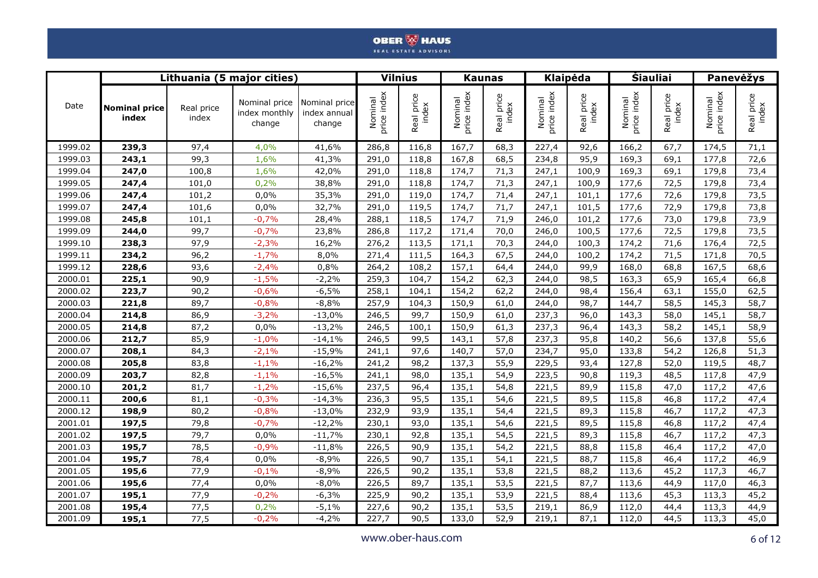|         |                               | Lithuania (5 major cities) |                                          |                                         |                        | <b>Vilnius</b>      |                        | <b>Kaunas</b>       |                        | <b>Klaipėda</b>     |                        | <b>Siauliai</b>     |                        | Panevėžys           |
|---------|-------------------------------|----------------------------|------------------------------------------|-----------------------------------------|------------------------|---------------------|------------------------|---------------------|------------------------|---------------------|------------------------|---------------------|------------------------|---------------------|
| Date    | <b>Nominal price</b><br>index | Real price<br>index        | Nominal price<br>index monthly<br>change | Nominal price<br>index annual<br>change | Nominal<br>price index | Real price<br>index | price index<br>Nominal | Real price<br>index | price index<br>Nominal | Real price<br>index | price index<br>Nominal | Real price<br>index | Nominal<br>price index | Real price<br>index |
| 1999.02 | 239,3                         | 97,4                       | 4,0%                                     | 41,6%                                   | 286,8                  | 116,8               | 167,7                  | 68,3                | 227,4                  | 92,6                | 166,2                  | 67,7                | 174,5                  | 71,1                |
| 1999.03 | 243,1                         | 99,3                       | 1,6%                                     | 41,3%                                   | 291,0                  | 118,8               | 167,8                  | 68,5                | 234,8                  | 95,9                | 169,3                  | 69,1                | 177,8                  | 72,6                |
| 1999.04 | 247,0                         | 100,8                      | 1,6%                                     | 42,0%                                   | 291,0                  | 118,8               | 174,7                  | 71,3                | 247,1                  | 100,9               | 169,3                  | 69,1                | 179,8                  | 73,4                |
| 1999.05 | 247,4                         | 101,0                      | 0,2%                                     | 38,8%                                   | 291,0                  | 118,8               | 174,7                  | 71,3                | 247,1                  | 100,9               | 177,6                  | 72,5                | 179,8                  | 73,4                |
| 1999.06 | 247,4                         | 101,2                      | 0,0%                                     | 35,3%                                   | 291,0                  | 119,0               | 174,7                  | 71,4                | 247,1                  | 101,1               | 177,6                  | 72,6                | 179,8                  | 73,5                |
| 1999.07 | 247,4                         | 101,6                      | 0,0%                                     | 32,7%                                   | 291,0                  | 119,5               | 174,7                  | 71,7                | 247,1                  | 101,5               | 177,6                  | 72,9                | 179,8                  | 73,8                |
| 1999.08 | 245,8                         | 101,1                      | $-0,7%$                                  | 28,4%                                   | 288,1                  | 118,5               | 174,7                  | 71,9                | 246,0                  | 101,2               | 177,6                  | 73,0                | 179,8                  | 73,9                |
| 1999.09 | 244,0                         | 99,7                       | $-0,7%$                                  | 23,8%                                   | 286,8                  | 117,2               | 171,4                  | 70,0                | 246,0                  | 100,5               | 177,6                  | 72,5                | 179,8                  | 73,5                |
| 1999.10 | 238,3                         | 97,9                       | $-2,3%$                                  | 16,2%                                   | 276,2                  | 113,5               | 171,1                  | 70,3                | 244,0                  | 100,3               | 174,2                  | 71,6                | 176,4                  | 72,5                |
| 1999.11 | 234,2                         | 96,2                       | $-1,7%$                                  | 8,0%                                    | 271,4                  | 111,5               | 164,3                  | 67,5                | 244,0                  | 100,2               | 174,2                  | 71,5                | 171,8                  | 70,5                |
| 1999.12 | 228,6                         | 93,6                       | $-2,4%$                                  | 0,8%                                    | 264,2                  | 108,2               | 157,1                  | 64,4                | 244,0                  | 99,9                | 168,0                  | 68,8                | 167,5                  | 68,6                |
| 2000.01 | 225,1                         | 90,9                       | $-1,5%$                                  | $-2,2%$                                 | 259,3                  | 104,7               | 154,2                  | 62,3                | 244,0                  | 98,5                | 163,3                  | 65,9                | 165,4                  | 66,8                |
| 2000.02 | 223,7                         | 90,2                       | $-0,6%$                                  | $-6,5%$                                 | 258,1                  | 104,1               | 154,2                  | 62,2                | 244,0                  | 98,4                | 156,4                  | 63,1                | 155,0                  | 62,5                |
| 2000.03 | 221,8                         | 89,7                       | $-0,8%$                                  | $-8,8%$                                 | 257,9                  | 104,3               | 150,9                  | 61,0                | 244,0                  | 98,7                | 144,7                  | 58,5                | 145,3                  | 58,7                |
| 2000.04 | 214,8                         | 86,9                       | $-3,2%$                                  | $-13,0%$                                | 246,5                  | 99,7                | 150,9                  | 61,0                | 237,3                  | 96,0                | 143,3                  | 58,0                | 145,1                  | 58,7                |
| 2000.05 | 214,8                         | 87,2                       | 0,0%                                     | $-13,2%$                                | 246,5                  | 100,1               | 150,9                  | 61,3                | 237,3                  | 96,4                | 143,3                  | 58,2                | 145,1                  | 58,9                |
| 2000.06 | 212,7                         | 85,9                       | $-1,0%$                                  | $-14,1%$                                | 246,5                  | 99,5                | 143,1                  | 57,8                | 237,3                  | 95,8                | 140,2                  | 56,6                | 137,8                  | 55,6                |
| 2000.07 | 208,1                         | 84,3                       | $-2,1%$                                  | $-15,9%$                                | 241,1                  | 97,6                | 140,7                  | 57,0                | 234,7                  | 95,0                | 133,8                  | 54,2                | 126,8                  | 51,3                |
| 2000.08 | 205,8                         | 83,8                       | $-1,1%$                                  | $-16,2%$                                | 241,2                  | 98,2                | 137,3                  | 55,9                | 229,5                  | 93,4                | 127,8                  | 52,0                | 119,5                  | 48,7                |
| 2000.09 | 203,7                         | 82,8                       | $-1,1%$                                  | $-16,5%$                                | 241,1                  | 98,0                | 135,1                  | 54,9                | 223,5                  | 90,8                | 119,3                  | 48,5                | 117,8                  | 47,9                |
| 2000.10 | 201,2                         | 81,7                       | $-1,2%$                                  | $-15,6%$                                | 237,5                  | 96,4                | 135,1                  | 54,8                | 221,5                  | 89,9                | 115,8                  | 47,0                | 117,2                  | 47,6                |
| 2000.11 | 200,6                         | 81,1                       | $-0,3%$                                  | $-14,3%$                                | 236,3                  | 95,5                | 135,1                  | 54,6                | 221,5                  | 89,5                | 115,8                  | 46,8                | 117,2                  | 47,4                |
| 2000.12 | 198,9                         | 80,2                       | $-0,8%$                                  | $-13,0%$                                | 232,9                  | 93,9                | 135,1                  | 54,4                | 221,5                  | 89,3                | 115,8                  | 46,7                | 117,2                  | 47,3                |
| 2001.01 | 197,5                         | 79,8                       | $-0,7%$                                  | $-12,2%$                                | 230,1                  | 93,0                | 135,1                  | 54,6                | 221,5                  | 89,5                | 115,8                  | 46,8                | 117,2                  | 47,4                |
| 2001.02 | 197,5                         | 79,7                       | 0,0%                                     | $-11,7%$                                | 230,1                  | 92,8                | 135,1                  | 54,5                | 221,5                  | 89,3                | 115,8                  | 46,7                | 117,2                  | 47,3                |
| 2001.03 | 195,7                         | 78,5                       | $-0,9%$                                  | $-11,8%$                                | 226,5                  | 90,9                | 135,1                  | 54,2                | 221,5                  | 88,8                | 115,8                  | 46,4                | 117,2                  | 47,0                |
| 2001.04 | 195,7                         | 78,4                       | 0,0%                                     | $-8,9%$                                 | 226,5                  | 90,7                | 135,1                  | 54,1                | 221,5                  | 88,7                | 115,8                  | 46,4                | 117,2                  | 46,9                |
| 2001.05 | 195,6                         | 77,9                       | $-0,1%$                                  | $-8,9%$                                 | 226,5                  | 90,2                | 135,1                  | 53,8                | 221,5                  | 88,2                | 113,6                  | 45,2                | 117,3                  | 46,7                |
| 2001.06 | 195,6                         | 77,4                       | 0,0%                                     | $-8,0%$                                 | 226,5                  | 89,7                | 135,1                  | 53,5                | 221,5                  | 87,7                | 113,6                  | 44,9                | 117,0                  | 46,3                |
| 2001.07 | 195,1                         | 77,9                       | $-0,2%$                                  | $-6,3%$                                 | 225,9                  | 90,2                | 135,1                  | 53,9                | 221,5                  | 88,4                | 113,6                  | 45,3                | 113,3                  | 45,2                |
| 2001.08 | 195,4                         | 77,5                       | 0,2%                                     | $-5,1%$                                 | 227,6                  | 90,2                | 135,1                  | 53,5                | 219,1                  | 86,9                | 112,0                  | 44,4                | 113,3                  | 44,9                |
| 2001.09 | 195,1                         | 77,5                       | $-0,2%$                                  | $-4,2%$                                 | 227,7                  | 90,5                | 133,0                  | 52,9                | 219,1                  | 87,1                | 112,0                  | 44,5                | 113,3                  | 45,0                |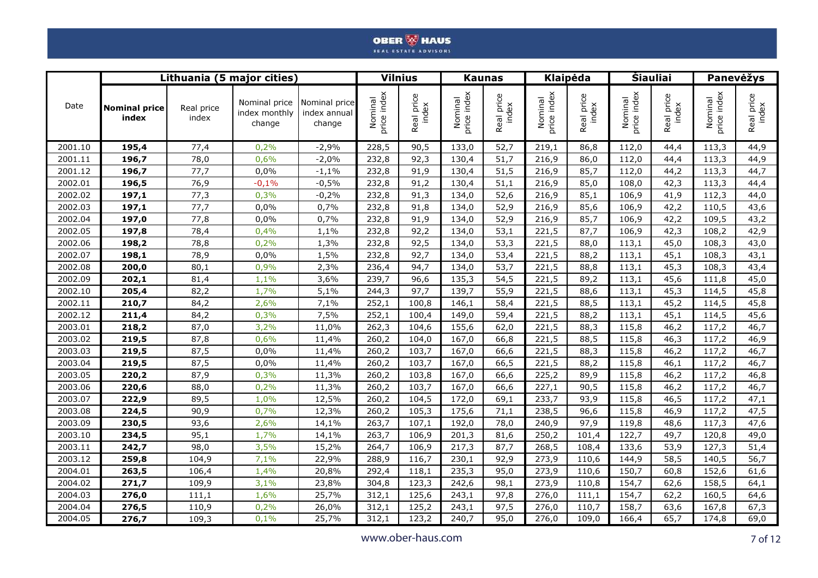|         |                               | Lithuania (5 major cities) |                                          |                                         |                        | <b>Vilnius</b>      |                        | <b>Kaunas</b>       |                        | <b>Klaipėda</b>     |                        | <b>Siauliai</b>     |                        | Panevėžys           |
|---------|-------------------------------|----------------------------|------------------------------------------|-----------------------------------------|------------------------|---------------------|------------------------|---------------------|------------------------|---------------------|------------------------|---------------------|------------------------|---------------------|
| Date    | <b>Nominal price</b><br>index | Real price<br>index        | Nominal price<br>index monthly<br>change | Nominal price<br>index annual<br>change | Nominal<br>price index | Real price<br>index | price index<br>Nominal | Real price<br>index | price index<br>Nominal | Real price<br>index | price index<br>Nominal | Real price<br>index | Nominal<br>price index | Real price<br>index |
| 2001.10 | 195,4                         | 77,4                       | 0,2%                                     | $-2,9%$                                 | 228,5                  | 90,5                | 133,0                  | 52,7                | 219,1                  | 86,8                | 112,0                  | 44,4                | 113,3                  | 44,9                |
| 2001.11 | 196,7                         | 78,0                       | 0,6%                                     | $-2,0%$                                 | 232,8                  | 92,3                | 130,4                  | 51,7                | 216,9                  | 86,0                | 112,0                  | 44,4                | 113,3                  | 44,9                |
| 2001.12 | 196,7                         | 77,7                       | 0,0%                                     | $-1,1%$                                 | 232,8                  | 91,9                | 130,4                  | 51,5                | 216,9                  | 85,7                | 112,0                  | 44,2                | 113,3                  | 44,7                |
| 2002.01 | 196,5                         | 76,9                       | $-0,1%$                                  | $-0,5%$                                 | 232,8                  | 91,2                | 130,4                  | 51,1                | 216,9                  | 85,0                | 108,0                  | 42,3                | 113,3                  | 44,4                |
| 2002.02 | 197,1                         | 77,3                       | 0,3%                                     | $-0,2%$                                 | 232,8                  | 91,3                | 134,0                  | 52,6                | 216,9                  | 85,1                | 106,9                  | 41,9                | 112,3                  | 44,0                |
| 2002.03 | 197,1                         | 77,7                       | 0,0%                                     | 0,7%                                    | 232,8                  | 91,8                | 134,0                  | 52,9                | 216,9                  | 85,6                | 106,9                  | 42,2                | 110,5                  | 43,6                |
| 2002.04 | 197,0                         | 77,8                       | 0,0%                                     | 0,7%                                    | 232,8                  | 91,9                | 134,0                  | 52,9                | 216,9                  | 85,7                | 106,9                  | 42,2                | 109,5                  | 43,2                |
| 2002.05 | 197,8                         | 78,4                       | 0,4%                                     | 1,1%                                    | 232,8                  | 92,2                | 134,0                  | 53,1                | 221,5                  | 87,7                | 106,9                  | 42,3                | 108,2                  | 42,9                |
| 2002.06 | 198,2                         | 78,8                       | 0,2%                                     | 1,3%                                    | 232,8                  | 92,5                | 134,0                  | 53,3                | 221,5                  | 88,0                | 113,1                  | 45,0                | 108,3                  | 43,0                |
| 2002.07 | 198,1                         | 78,9                       | 0,0%                                     | 1,5%                                    | 232,8                  | 92,7                | 134,0                  | 53,4                | 221,5                  | 88,2                | 113,1                  | 45,1                | 108,3                  | 43,1                |
| 2002.08 | 200,0                         | 80,1                       | 0,9%                                     | 2,3%                                    | 236,4                  | 94,7                | 134,0                  | 53,7                | 221,5                  | 88,8                | 113,1                  | 45,3                | 108,3                  | 43,4                |
| 2002.09 | 202,1                         | 81,4                       | 1,1%                                     | 3,6%                                    | 239,7                  | 96,6                | 135,3                  | 54,5                | 221,5                  | 89,2                | 113,1                  | 45,6                | 111,8                  | 45,0                |
| 2002.10 | 205,4                         | 82,2                       | 1,7%                                     | 5,1%                                    | 244,3                  | 97,7                | 139,7                  | 55,9                | 221,5                  | 88,6                | 113,1                  | 45,3                | 114,5                  | 45,8                |
| 2002.11 | 210,7                         | 84,2                       | 2,6%                                     | 7,1%                                    | 252,1                  | 100,8               | 146,1                  | 58,4                | 221,5                  | 88,5                | 113,1                  | 45,2                | 114,5                  | 45,8                |
| 2002.12 | 211,4                         | 84,2                       | 0,3%                                     | 7,5%                                    | 252,1                  | 100,4               | 149,0                  | 59,4                | 221,5                  | 88,2                | 113,1                  | 45,1                | 114,5                  | 45,6                |
| 2003.01 | 218,2                         | 87,0                       | 3,2%                                     | 11,0%                                   | 262,3                  | 104,6               | 155,6                  | 62,0                | 221,5                  | 88,3                | 115,8                  | 46,2                | 117,2                  | 46,7                |
| 2003.02 | 219,5                         | 87,8                       | 0,6%                                     | 11,4%                                   | 260,2                  | 104,0               | 167,0                  | 66,8                | 221,5                  | 88,5                | 115,8                  | 46,3                | 117,2                  | 46,9                |
| 2003.03 | 219,5                         | 87,5                       | 0,0%                                     | 11,4%                                   | 260,2                  | 103,7               | 167,0                  | 66,6                | 221,5                  | 88,3                | 115,8                  | 46,2                | 117,2                  | 46,7                |
| 2003.04 | 219,5                         | 87,5                       | 0,0%                                     | 11,4%                                   | 260,2                  | 103,7               | 167,0                  | 66,5                | 221,5                  | 88,2                | 115,8                  | 46,1                | 117,2                  | 46,7                |
| 2003.05 | 220,2                         | 87,9                       | 0,3%                                     | 11,3%                                   | 260,2                  | 103,8               | 167,0                  | 66,6                | 225,2                  | 89,9                | 115,8                  | 46,2                | 117,2                  | 46,8                |
| 2003.06 | 220,6                         | 88,0                       | 0,2%                                     | 11,3%                                   | 260,2                  | 103,7               | 167,0                  | 66,6                | 227,1                  | 90,5                | 115,8                  | 46,2                | 117,2                  | 46,7                |
| 2003.07 | 222,9                         | 89,5                       | 1,0%                                     | 12,5%                                   | 260,2                  | 104,5               | 172,0                  | 69,1                | 233,7                  | 93,9                | 115,8                  | 46,5                | 117,2                  | 47,1                |
| 2003.08 | 224,5                         | 90,9                       | 0,7%                                     | 12,3%                                   | 260,2                  | 105,3               | 175,6                  | 71,1                | 238,5                  | 96,6                | 115,8                  | 46,9                | 117,2                  | 47,5                |
| 2003.09 | 230,5                         | 93,6                       | 2,6%                                     | 14,1%                                   | 263,7                  | 107,1               | 192,0                  | 78,0                | 240,9                  | 97,9                | 119,8                  | 48,6                | 117,3                  | 47,6                |
| 2003.10 | 234,5                         | 95,1                       | 1,7%                                     | 14,1%                                   | 263,7                  | 106,9               | 201,3                  | 81,6                | 250,2                  | 101,4               | 122,7                  | 49,7                | 120,8                  | 49,0                |
| 2003.11 | 242,7                         | 98,0                       | 3,5%                                     | 15,2%                                   | 264,7                  | 106,9               | 217,3                  | 87,7                | 268,5                  | 108,4               | 133,6                  | 53,9                | 127,3                  | 51,4                |
| 2003.12 | 259,8                         | 104,9                      | 7,1%                                     | 22,9%                                   | 288,9                  | 116,7               | 230,1                  | 92,9                | 273,9                  | 110,6               | 144,9                  | 58,5                | 140,5                  | 56,7                |
| 2004.01 | 263,5                         | 106,4                      | 1,4%                                     | 20,8%                                   | 292,4                  | 118,1               | 235,3                  | 95,0                | 273,9                  | 110,6               | 150,7                  | 60,8                | 152,6                  | 61,6                |
| 2004.02 | 271,7                         | 109,9                      | 3,1%                                     | 23,8%                                   | 304,8                  | 123,3               | 242,6                  | 98,1                | 273,9                  | 110,8               | 154,7                  | 62,6                | 158,5                  | 64,1                |
| 2004.03 | 276,0                         | 111,1                      | 1,6%                                     | 25,7%                                   | 312,1                  | 125,6               | 243,1                  | 97,8                | 276,0                  | 111,1               | 154,7                  | 62,2                | 160,5                  | 64,6                |
| 2004.04 | 276,5                         | 110,9                      | 0,2%                                     | 26,0%                                   | 312,1                  | 125,2               | 243,1                  | 97,5                | 276,0                  | 110,7               | 158,7                  | 63,6                | 167,8                  | 67,3                |
| 2004.05 | 276,7                         | 109,3                      | 0,1%                                     | 25,7%                                   | 312,1                  | 123,2               | 240,7                  | 95,0                | 276,0                  | 109,0               | 166,4                  | 65,7                | 174,8                  | 69,0                |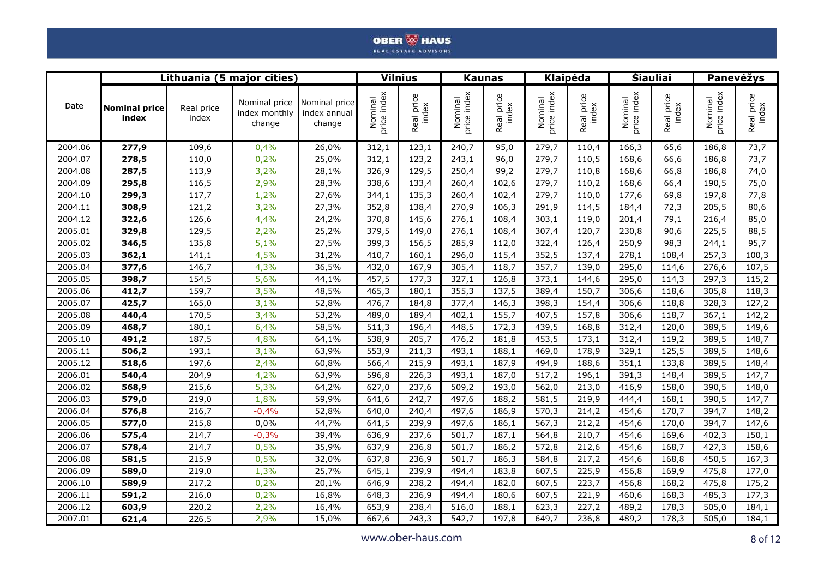|         |                               |                     | Lithuania (5 major cities)               |                                         |                        | <b>Vilnius</b>      |                        | <b>Kaunas</b>       |                        | <b>Klaipėda</b>     |                        | <b>Siauliai</b>     |                        | <b>Panevėžys</b>    |
|---------|-------------------------------|---------------------|------------------------------------------|-----------------------------------------|------------------------|---------------------|------------------------|---------------------|------------------------|---------------------|------------------------|---------------------|------------------------|---------------------|
| Date    | <b>Nominal price</b><br>index | Real price<br>index | Nominal price<br>index monthly<br>change | Nominal price<br>index annual<br>change | Nominal<br>price index | Real price<br>index | price index<br>Nominal | Real price<br>index | price index<br>Nominal | Real price<br>index | price index<br>Nominal | Real price<br>index | price index<br>Nominal | Real price<br>index |
| 2004.06 | 277,9                         | 109,6               | 0,4%                                     | 26,0%                                   | 312,1                  | 123,1               | 240,7                  | 95,0                | 279,7                  | 110,4               | 166,3                  | 65,6                | 186,8                  | 73,7                |
| 2004.07 | 278,5                         | 110,0               | 0,2%                                     | 25,0%                                   | 312,1                  | 123,2               | 243,1                  | 96,0                | 279,7                  | 110,5               | 168,6                  | 66,6                | 186,8                  | 73,7                |
| 2004.08 | 287,5                         | 113,9               | 3,2%                                     | 28,1%                                   | 326,9                  | 129,5               | 250,4                  | 99,2                | 279,7                  | 110,8               | 168,6                  | 66,8                | 186,8                  | 74,0                |
| 2004.09 | 295,8                         | 116,5               | 2,9%                                     | 28,3%                                   | 338,6                  | 133,4               | 260,4                  | 102,6               | 279,7                  | 110,2               | 168,6                  | 66,4                | 190,5                  | 75,0                |
| 2004.10 | 299,3                         | 117,7               | 1,2%                                     | 27,6%                                   | 344,1                  | 135,3               | 260,4                  | 102,4               | 279,7                  | 110,0               | 177,6                  | 69,8                | 197,8                  | 77,8                |
| 2004.11 | 308,9                         | 121,2               | 3,2%                                     | 27,3%                                   | 352,8                  | 138,4               | 270,9                  | 106,3               | 291,9                  | 114,5               | 184,4                  | 72,3                | 205,5                  | 80,6                |
| 2004.12 | 322,6                         | 126,6               | 4,4%                                     | 24,2%                                   | 370,8                  | 145,6               | 276,1                  | 108,4               | 303,1                  | 119,0               | 201,4                  | 79,1                | 216,4                  | 85,0                |
| 2005.01 | 329,8                         | 129,5               | 2,2%                                     | 25,2%                                   | 379,5                  | 149,0               | 276,1                  | 108,4               | 307,4                  | 120,7               | 230,8                  | 90,6                | 225,5                  | 88,5                |
| 2005.02 | 346,5                         | 135,8               | 5,1%                                     | 27,5%                                   | 399,3                  | 156,5               | 285,9                  | 112,0               | 322,4                  | 126,4               | 250,9                  | 98,3                | 244,1                  | 95,7                |
| 2005.03 | 362,1                         | 141,1               | 4,5%                                     | 31,2%                                   | 410,7                  | 160,1               | 296,0                  | 115,4               | 352,5                  | 137,4               | 278,1                  | 108,4               | 257,3                  | 100,3               |
| 2005.04 | 377,6                         | 146,7               | 4,3%                                     | 36,5%                                   | 432,0                  | 167,9               | 305,4                  | 118,7               | 357,7                  | 139,0               | 295,0                  | 114,6               | 276,6                  | 107,5               |
| 2005.05 | 398,7                         | 154,5               | 5,6%                                     | 44,1%                                   | 457,5                  | 177,3               | 327,1                  | 126,8               | 373,1                  | 144,6               | 295,0                  | 114,3               | 297,3                  | 115,2               |
| 2005.06 | 412,7                         | 159,7               | 3,5%                                     | 48,5%                                   | 465,3                  | 180,1               | 355,3                  | 137,5               | 389,4                  | 150,7               | 306,6                  | 118,6               | 305,8                  | 118,3               |
| 2005.07 | 425,7                         | 165,0               | 3,1%                                     | 52,8%                                   | 476,7                  | 184,8               | 377,4                  | 146,3               | 398,3                  | 154,4               | 306,6                  | 118,8               | 328,3                  | 127,2               |
| 2005.08 | 440,4                         | 170,5               | 3,4%                                     | 53,2%                                   | 489,0                  | 189,4               | 402,1                  | 155,7               | 407,5                  | 157,8               | 306,6                  | 118,7               | 367,1                  | 142,2               |
| 2005.09 | 468,7                         | 180,1               | 6,4%                                     | 58,5%                                   | 511,3                  | 196,4               | 448,5                  | 172,3               | 439,5                  | 168,8               | 312,4                  | 120,0               | 389,5                  | 149,6               |
| 2005.10 | 491,2                         | 187,5               | 4,8%                                     | 64,1%                                   | 538,9                  | 205,7               | 476,2                  | 181,8               | 453,5                  | 173,1               | 312,4                  | 119,2               | 389,5                  | 148,7               |
| 2005.11 | 506,2                         | 193,1               | 3,1%                                     | 63,9%                                   | 553,9                  | 211,3               | 493,1                  | 188,1               | 469,0                  | 178,9               | 329,1                  | 125,5               | 389,5                  | 148,6               |
| 2005.12 | 518,6                         | 197,6               | 2,4%                                     | 60,8%                                   | 566,4                  | 215,9               | 493,1                  | 187,9               | 494,9                  | 188,6               | 351,1                  | 133,8               | 389,5                  | 148,4               |
| 2006.01 | 540,4                         | 204,9               | 4,2%                                     | 63,9%                                   | 596,8                  | 226,3               | 493,1                  | 187,0               | 517,2                  | 196,1               | 391,3                  | 148,4               | 389,5                  | 147,7               |
| 2006.02 | 568,9                         | 215,6               | 5,3%                                     | 64,2%                                   | 627,0                  | 237,6               | 509,2                  | 193,0               | 562,0                  | 213,0               | 416,9                  | 158,0               | 390,5                  | 148,0               |
| 2006.03 | 579,0                         | 219,0               | 1,8%                                     | 59,9%                                   | 641,6                  | 242,7               | 497,6                  | 188,2               | 581,5                  | 219,9               | 444,4                  | 168,1               | 390,5                  | 147,7               |
| 2006.04 | 576,8                         | 216,7               | $-0,4%$                                  | 52,8%                                   | 640,0                  | 240,4               | 497,6                  | 186,9               | 570,3                  | 214,2               | 454,6                  | 170,7               | 394,7                  | 148,2               |
| 2006.05 | 577,0                         | 215,8               | 0,0%                                     | 44,7%                                   | 641,5                  | 239,9               | 497,6                  | 186,1               | 567,3                  | 212,2               | 454,6                  | 170,0               | 394,7                  | 147,6               |
| 2006.06 | 575,4                         | 214,7               | $-0,3%$                                  | 39,4%                                   | 636,9                  | 237,6               | 501,7                  | 187,1               | 564,8                  | 210,7               | 454,6                  | 169,6               | 402,3                  | 150,1               |
| 2006.07 | 578,4                         | 214,7               | 0,5%                                     | 35,9%                                   | $\overline{6}$ 37,9    | 236,8               | 501,7                  | 186,2               | 572,8                  | 212,6               | 454,6                  | 168,7               | 427,3                  | 158,6               |
| 2006.08 | 581,5                         | 215,9               | 0,5%                                     | 32,0%                                   | 637,8                  | 236,9               | 501,7                  | 186,3               | 584,8                  | 217,2               | 454,6                  | 168,8               | 450,5                  | 167,3               |
| 2006.09 | 589,0                         | 219,0               | 1,3%                                     | 25,7%                                   | 645,1                  | 239,9               | 494,4                  | 183,8               | 607,5                  | 225,9               | 456,8                  | 169,9               | 475,8                  | 177,0               |
| 2006.10 | 589,9                         | 217,2               | 0,2%                                     | 20,1%                                   | 646,9                  | 238,2               | 494,4                  | 182,0               | 607,5                  | 223,7               | 456,8                  | 168,2               | 475,8                  | 175,2               |
| 2006.11 | 591,2                         | 216,0               | 0,2%                                     | 16,8%                                   | 648,3                  | 236,9               | 494,4                  | 180,6               | 607,5                  | 221,9               | 460,6                  | 168,3               | 485,3                  | 177,3               |
| 2006.12 | 603,9                         | 220,2               | 2,2%                                     | 16,4%                                   | 653,9                  | 238,4               | 516,0                  | 188,1               | 623,3                  | 227,2               | 489,2                  | 178,3               | 505,0                  | 184,1               |
| 2007.01 | 621,4                         | 226,5               | 2,9%                                     | 15,0%                                   | 667,6                  | 243,3               | 542,7                  | 197,8               | 649,7                  | 236,8               | 489,2                  | 178,3               | 505,0                  | 184,1               |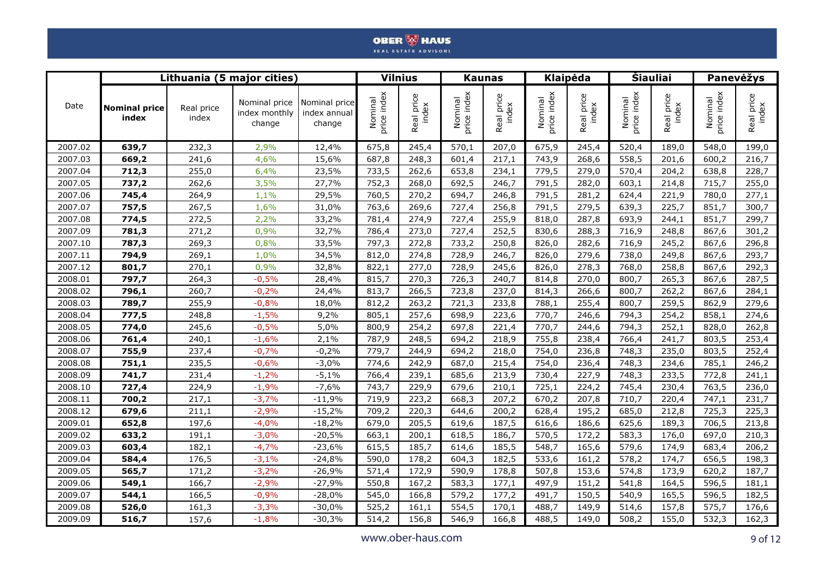|         |                               | Lithuania (5 major cities) |                                          |                                         |                        | <b>Vilnius</b>      |                        | <b>Kaunas</b>       |                        | <b>Klaipėda</b>     |                        | <b>Šiauliai</b>     |                        | <b>Panevėžys</b>    |
|---------|-------------------------------|----------------------------|------------------------------------------|-----------------------------------------|------------------------|---------------------|------------------------|---------------------|------------------------|---------------------|------------------------|---------------------|------------------------|---------------------|
| Date    | <b>Nominal price</b><br>index | Real price<br>index        | Nominal price<br>index monthly<br>change | Nominal price<br>index annual<br>change | Nominal<br>price index | Real price<br>index | price index<br>Nominal | Real price<br>index | price index<br>Nominal | Real price<br>index | price index<br>Nominal | Real price<br>index | Nominal<br>price index | Real price<br>index |
| 2007.02 | 639,7                         | 232,3                      | 2,9%                                     | 12,4%                                   | 675,8                  | 245,4               | 570,1                  | 207,0               | 675,9                  | 245,4               | 520,4                  | 189,0               | 548,0                  | 199,0               |
| 2007.03 | 669,2                         | 241,6                      | 4,6%                                     | 15,6%                                   | 687,8                  | 248,3               | 601,4                  | 217,1               | 743,9                  | 268,6               | 558,5                  | 201,6               | 600,2                  | 216,7               |
| 2007.04 | 712,3                         | 255,0                      | 6,4%                                     | 23,5%                                   | 733,5                  | 262,6               | 653,8                  | 234,1               | 779,5                  | 279,0               | 570,4                  | 204,2               | 638,8                  | 228,7               |
| 2007.05 | 737,2                         | 262,6                      | 3,5%                                     | 27,7%                                   | 752,3                  | 268,0               | 692,5                  | 246,7               | 791,5                  | 282,0               | 603,1                  | 214,8               | 715,7                  | 255,0               |
| 2007.06 | 745,4                         | 264,9                      | 1,1%                                     | 29,5%                                   | 760,5                  | 270,2               | 694,7                  | 246,8               | 791,5                  | 281,2               | 624,4                  | 221,9               | 780,0                  | 277,1               |
| 2007.07 | 757,5                         | 267,5                      | 1,6%                                     | 31,0%                                   | 763,6                  | 269,6               | 727,4                  | 256,8               | 791,5                  | 279,5               | 639,3                  | 225,7               | 851.7                  | 300,7               |
| 2007.08 | 774,5                         | 272,5                      | 2,2%                                     | 33,2%                                   | 781,4                  | 274,9               | 727,4                  | 255,9               | 818,0                  | 287,8               | 693,9                  | 244,1               | 851,7                  | 299,7               |
| 2007.09 | 781,3                         | 271,2                      | 0,9%                                     | 32,7%                                   | 786,4                  | 273,0               | 727,4                  | 252,5               | 830,6                  | 288,3               | 716,9                  | 248,8               | 867,6                  | 301,2               |
| 2007.10 | 787,3                         | 269,3                      | 0,8%                                     | 33,5%                                   | 797,3                  | 272,8               | 733,2                  | 250,8               | 826,0                  | 282,6               | 716,9                  | 245,2               | 867,6                  | 296,8               |
| 2007.11 | 794,9                         | 269,1                      | 1,0%                                     | 34,5%                                   | 812,0                  | 274,8               | 728,9                  | 246,7               | 826,0                  | 279,6               | 738,0                  | 249,8               | 867,6                  | 293,7               |
| 2007.12 | 801,7                         | 270,1                      | 0,9%                                     | 32,8%                                   | 822,1                  | 277,0               | 728,9                  | 245,6               | 826,0                  | 278,3               | 768,0                  | 258,8               | 867,6                  | 292,3               |
| 2008.01 | 797,7                         | 264,3                      | $-0,5%$                                  | 28,4%                                   | 815,7                  | 270,3               | 726,3                  | 240,7               | 814,8                  | 270,0               | 800,7                  | 265,3               | 867,6                  | 287,5               |
| 2008.02 | 796,1                         | 260,7                      | $-0,2%$                                  | 24,4%                                   | 813,7                  | 266,5               | 723,8                  | 237,0               | 814,3                  | 266,6               | 800,7                  | 262,2               | 867,6                  | 284,1               |
| 2008.03 | 789,7                         | 255,9                      | $-0,8%$                                  | 18,0%                                   | 812,2                  | 263,2               | 721,3                  | 233,8               | 788,1                  | 255,4               | 800,7                  | 259,5               | 862,9                  | 279,6               |
| 2008.04 | 777,5                         | 248,8                      | $-1,5%$                                  | 9,2%                                    | 805,1                  | 257,6               | 698,9                  | 223,6               | 770,7                  | 246,6               | 794,3                  | 254,2               | 858,1                  | 274,6               |
| 2008.05 | 774,0                         | 245,6                      | $-0,5%$                                  | 5,0%                                    | 800,9                  | 254,2               | 697,8                  | 221,4               | 770,7                  | 244,6               | 794,3                  | 252,1               | 828,0                  | 262,8               |
| 2008.06 | 761,4                         | 240,1                      | $-1,6%$                                  | 2,1%                                    | 787,9                  | 248,5               | 694,2                  | 218,9               | 755,8                  | 238,4               | 766,4                  | 241,7               | 803,5                  | 253,4               |
| 2008.07 | 755,9                         | 237,4                      | $-0,7%$                                  | $-0,2%$                                 | 779,7                  | 244,9               | 694,2                  | 218,0               | 754,0                  | 236,8               | 748,3                  | 235,0               | 803,5                  | 252,4               |
| 2008.08 | 751,1                         | 235,5                      | $-0,6%$                                  | $-3,0%$                                 | 774,6                  | 242,9               | 687,0                  | 215,4               | 754,0                  | 236,4               | 748,3                  | 234,6               | 785,1                  | 246,2               |
| 2008.09 | 741,7                         | 231,4                      | $-1,2%$                                  | $-5,1%$                                 | 766,4                  | 239,1               | 685,6                  | 213,9               | 730,4                  | 227,9               | 748,3                  | 233,5               | 772,8                  | 241,1               |
| 2008.10 | 727,4                         | 224,9                      | $-1,9%$                                  | $-7,6%$                                 | 743,7                  | 229,9               | 679,6                  | 210,1               | 725,1                  | 224,2               | 745,4                  | 230,4               | 763,5                  | 236,0               |
| 2008.11 | 700,2                         | 217,1                      | $-3,7%$                                  | $-11,9%$                                | 719,9                  | 223,2               | 668,3                  | 207,2               | 670,2                  | 207,8               | 710,7                  | 220,4               | 747,1                  | 231,7               |
| 2008.12 | 679,6                         | 211,1                      | $-2,9%$                                  | $-15,2%$                                | 709,2                  | 220,3               | 644,6                  | 200,2               | 628,4                  | 195,2               | 685,0                  | 212,8               | 725,3                  | 225,3               |
| 2009.01 | 652,8                         | 197,6                      | $-4,0%$                                  | $-18,2%$                                | 679,0                  | 205,5               | 619,6                  | 187,5               | 616,6                  | 186,6               | 625,6                  | 189,3               | 706,5                  | 213,8               |
| 2009.02 | 633,2                         | 191,1                      | $-3,0%$                                  | $-20,5%$                                | 663,1                  | 200,1               | 618,5                  | 186,7               | 570,5                  | 172,2               | 583,3                  | 176,0               | 697,0                  | 210,3               |
| 2009.03 | 603,4                         | 182,1                      | $-4,7%$                                  | $-23,6%$                                | 615,5                  | 185,7               | 614,6                  | 185,5               | 548,7                  | 165,6               | 579,6                  | 174,9               | 683,4                  | 206,2               |
| 2009.04 | 584,4                         | 176,5                      | $-3,1%$                                  | $-24,8%$                                | 590,0                  | 178,2               | 604,3                  | 182,5               | 533,6                  | 161,2               | 578,2                  | 174,7               | 656,5                  | 198,3               |
| 2009.05 | 565,7                         | 171,2                      | $-3,2%$                                  | $-26,9%$                                | 571,4                  | 172,9               | 590,9                  | 178,8               | 507,8                  | 153,6               | 574,8                  | 173,9               | 620,2                  | 187,7               |
| 2009.06 | 549,1                         | 166,7                      | $-2,9%$                                  | $-27,9%$                                | 550,8                  | 167,2               | 583,3                  | 177,1               | 497,9                  | 151,2               | 541,8                  | 164,5               | 596,5                  | 181,1               |
| 2009.07 | 544,1                         | 166,5                      | $-0,9%$                                  | $-28,0%$                                | 545,0                  | 166,8               | 579,2                  | 177,2               | 491,7                  | 150,5               | 540,9                  | 165,5               | 596,5                  | 182,5               |
| 2009.08 | 526,0                         | 161,3                      | $-3,3%$                                  | $-30,0%$                                | 525,2                  | 161,1               | 554,5                  | 170,1               | 488,7                  | 149,9               | 514,6                  | 157,8               | 575,7                  | 176,6               |
| 2009.09 | 516,7                         | 157,6                      | $-1,8%$                                  | $-30,3%$                                | 514,2                  | 156,8               | 546,9                  | 166,8               | 488,5                  | 149,0               | 508,2                  | 155,0               | 532,3                  | 162,3               |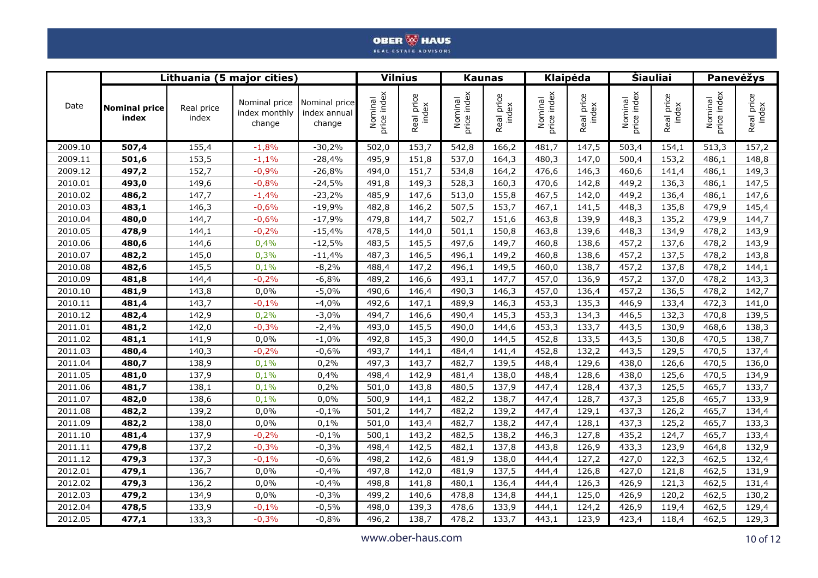|         |                               | Lithuania (5 major cities) |                                          |                                         |                        | <b>Vilnius</b>      |                        | <b>Kaunas</b>       |                        | Klaipėda            |                        | <b>Siauliai</b>     |                        | Panevėžys           |
|---------|-------------------------------|----------------------------|------------------------------------------|-----------------------------------------|------------------------|---------------------|------------------------|---------------------|------------------------|---------------------|------------------------|---------------------|------------------------|---------------------|
| Date    | <b>Nominal price</b><br>index | Real price<br>index        | Nominal price<br>index monthly<br>change | Nominal price<br>index annual<br>change | Nominal<br>price index | Real price<br>index | price index<br>Nominal | Real price<br>index | price index<br>Nominal | Real price<br>index | price index<br>Nominal | Real price<br>index | Nominal<br>price index | Real price<br>index |
| 2009.10 | 507,4                         | 155,4                      | $-1,8%$                                  | $-30,2%$                                | 502,0                  | 153,7               | 542,8                  | 166,2               | 481,7                  | 147,5               | 503,4                  | 154,1               | 513,3                  | 157,2               |
| 2009.11 | 501,6                         | 153,5                      | $-1,1%$                                  | $-28,4%$                                | 495,9                  | 151,8               | 537,0                  | 164,3               | 480,3                  | 147,0               | 500,4                  | 153,2               | 486,1                  | 148,8               |
| 2009.12 | 497,2                         | 152,7                      | $-0,9%$                                  | $-26,8%$                                | 494,0                  | 151,7               | 534,8                  | 164,2               | 476,6                  | 146,3               | 460,6                  | 141,4               | 486,1                  | 149,3               |
| 2010.01 | 493,0                         | 149,6                      | $-0,8%$                                  | $-24,5%$                                | 491,8                  | 149,3               | 528,3                  | 160,3               | 470,6                  | 142,8               | 449,2                  | 136,3               | 486,1                  | 147,5               |
| 2010.02 | 486,2                         | 147,7                      | $-1,4%$                                  | $-23,2%$                                | 485,9                  | 147,6               | 513,0                  | 155,8               | 467,5                  | 142,0               | 449,2                  | 136,4               | 486,1                  | 147,6               |
| 2010.03 | 483,1                         | 146,3                      | $-0,6%$                                  | $-19,9%$                                | 482,8                  | 146,2               | 507,5                  | 153,7               | 467,1                  | 141,5               | 448,3                  | 135,8               | 479,9                  | 145,4               |
| 2010.04 | 480,0                         | 144,7                      | $-0,6%$                                  | $-17,9%$                                | 479,8                  | 144,7               | 502,7                  | 151,6               | 463,8                  | 139,9               | 448,3                  | 135,2               | 479,9                  | 144,7               |
| 2010.05 | 478,9                         | 144,1                      | $-0,2%$                                  | $-15,4%$                                | 478,5                  | 144,0               | 501,1                  | 150,8               | 463,8                  | 139,6               | 448,3                  | 134,9               | 478,2                  | 143,9               |
| 2010.06 | 480,6                         | 144,6                      | 0,4%                                     | $-12,5%$                                | 483,5                  | 145,5               | 497,6                  | 149,7               | 460,8                  | 138,6               | 457,2                  | 137,6               | 478,2                  | 143,9               |
| 2010.07 | 482,2                         | 145,0                      | 0,3%                                     | $-11,4%$                                | 487,3                  | 146,5               | 496,1                  | 149,2               | 460,8                  | 138,6               | 457,2                  | 137,5               | 478,2                  | 143,8               |
| 2010.08 | 482,6                         | 145,5                      | 0,1%                                     | $-8,2%$                                 | 488,4                  | 147,2               | 496,1                  | 149,5               | 460,0                  | 138,7               | 457,2                  | 137,8               | 478,2                  | 144,1               |
| 2010.09 | 481,8                         | 144,4                      | $-0,2%$                                  | $-6,8%$                                 | 489,2                  | 146,6               | 493,1                  | 147,7               | 457,0                  | 136,9               | 457,2                  | 137,0               | 478,2                  | 143,3               |
| 2010.10 | 481,9                         | 143,8                      | 0,0%                                     | $-5,0%$                                 | 490,6                  | 146,4               | 490,3                  | 146,3               | 457,0                  | 136,4               | 457,2                  | 136,5               | 478,2                  | 142,7               |
| 2010.11 | 481,4                         | 143,7                      | $-0,1%$                                  | $-4,0%$                                 | 492,6                  | 147,1               | 489,9                  | 146,3               | 453,3                  | 135,3               | 446,9                  | 133,4               | 472,3                  | 141,0               |
| 2010.12 | 482,4                         | 142,9                      | 0,2%                                     | $-3,0%$                                 | 494,7                  | 146,6               | 490,4                  | 145,3               | 453,3                  | 134,3               | 446,5                  | 132,3               | 470,8                  | 139,5               |
| 2011.01 | 481,2                         | 142,0                      | $-0,3%$                                  | $-2,4%$                                 | 493,0                  | 145,5               | 490,0                  | 144,6               | 453,3                  | 133,7               | 443,5                  | 130,9               | 468,6                  | 138,3               |
| 2011.02 | 481,1                         | 141,9                      | 0,0%                                     | $-1,0%$                                 | 492,8                  | 145,3               | 490,0                  | 144,5               | 452,8                  | 133,5               | 443,5                  | 130,8               | 470,5                  | 138,7               |
| 2011.03 | 480,4                         | 140,3                      | $-0,2%$                                  | $-0,6%$                                 | 493,7                  | 144,1               | 484,4                  | 141,4               | 452,8                  | 132,2               | 443,5                  | 129,5               | 470,5                  | 137,4               |
| 2011.04 | 480,7                         | 138,9                      | 0,1%                                     | 0,2%                                    | 497,3                  | 143,7               | 482,7                  | 139,5               | 448,4                  | 129,6               | 438,0                  | 126,6               | 470,5                  | 136,0               |
| 2011.05 | 481,0                         | 137,9                      | 0,1%                                     | 0,4%                                    | 498,4                  | 142,9               | 481,4                  | 138,0               | 448,4                  | 128,6               | 438,0                  | 125,6               | 470,5                  | 134,9               |
| 2011.06 | 481,7                         | 138,1                      | 0,1%                                     | 0,2%                                    | 501,0                  | 143,8               | 480,5                  | 137,9               | 447,4                  | 128,4               | 437,3                  | 125,5               | 465,7                  | 133,7               |
| 2011.07 | 482,0                         | 138,6                      | 0,1%                                     | 0,0%                                    | 500,9                  | 144,1               | 482,2                  | 138,7               | 447,4                  | 128,7               | 437,3                  | 125,8               | 465,7                  | 133,9               |
| 2011.08 | 482,2                         | 139,2                      | 0,0%                                     | $-0,1%$                                 | 501,2                  | 144,7               | 482,2                  | 139,2               | 447,4                  | 129,1               | 437,3                  | 126,2               | 465,7                  | 134,4               |
| 2011.09 | 482,2                         | 138,0                      | 0,0%                                     | 0,1%                                    | 501,0                  | 143,4               | 482,7                  | 138,2               | 447,4                  | 128,1               | 437,3                  | 125,2               | 465,7                  | 133,3               |
| 2011.10 | 481,4                         | 137,9                      | $-0,2%$                                  | $-0,1%$                                 | 500,1                  | 143,2               | 482,5                  | 138,2               | 446,3                  | 127,8               | 435,2                  | 124,7               | 465,7                  | 133,4               |
| 2011.11 | 479,8                         | 137,2                      | $-0,3%$                                  | $-0,3%$                                 | 498,4                  | 142,5               | 482,1                  | 137,8               | 443,8                  | 126,9               | 433,3                  | 123,9               | 464,8                  | 132,9               |
| 2011.12 | 479,3                         | 137,3                      | $-0,1%$                                  | $-0,6%$                                 | 498,2                  | 142,6               | 481,9                  | 138,0               | 444,4                  | 127,2               | 427,0                  | 122,3               | 462,5                  | 132,4               |
| 2012.01 | 479,1                         | 136,7                      | 0,0%                                     | $-0,4%$                                 | 497,8                  | 142,0               | 481,9                  | 137,5               | 444,4                  | 126,8               | 427,0                  | 121,8               | 462,5                  | 131,9               |
| 2012.02 | 479,3                         | 136,2                      | 0,0%                                     | $-0,4%$                                 | 498,8                  | 141,8               | 480,1                  | 136,4               | 444,4                  | 126,3               | 426,9                  | 121,3               | 462,5                  | 131,4               |
| 2012.03 | 479,2                         | 134,9                      | 0,0%                                     | $-0,3%$                                 | 499,2                  | 140,6               | 478,8                  | 134,8               | 444,1                  | 125,0               | 426,9                  | 120,2               | 462,5                  | 130,2               |
| 2012.04 | 478,5                         | 133,9                      | $-0,1%$                                  | $-0,5%$                                 | 498,0                  | 139,3               | 478,6                  | 133,9               | 444,1                  | 124,2               | 426,9                  | 119,4               | 462,5                  | 129,4               |
| 2012.05 | 477,1                         | 133,3                      | $-0,3%$                                  | $-0,8%$                                 | 496,2                  | 138,7               | 478,2                  | 133,7               | 443,1                  | 123,9               | 423,4                  | 118,4               | 462,5                  | 129,3               |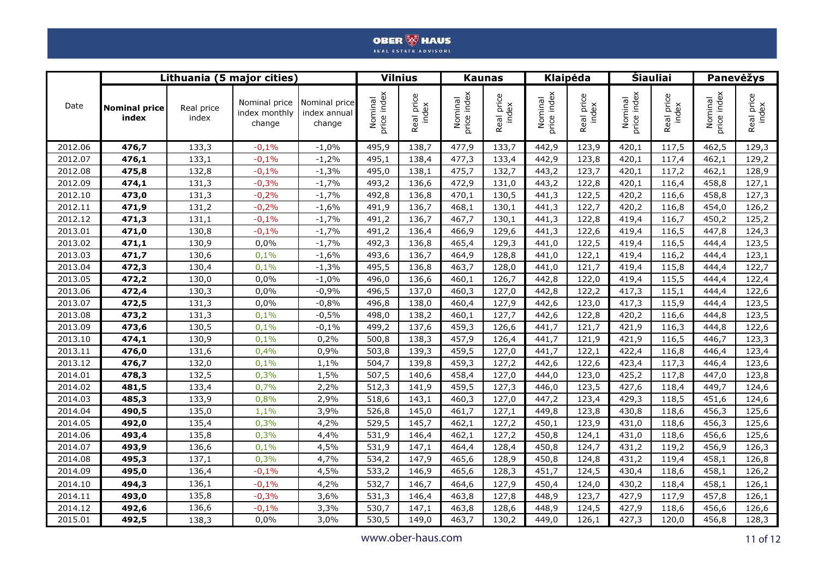|         |                               | Lithuania (5 major cities) |                                          |                                         |                        | <b>Vilnius</b>      |                        | <b>Kaunas</b>       |                        | <b>Klaipėda</b>            |                        | <b>Siauliai</b>     |                        | Panevėžys           |
|---------|-------------------------------|----------------------------|------------------------------------------|-----------------------------------------|------------------------|---------------------|------------------------|---------------------|------------------------|----------------------------|------------------------|---------------------|------------------------|---------------------|
| Date    | <b>Nominal price</b><br>index | Real price<br>index        | Nominal price<br>index monthly<br>change | Nominal price<br>index annual<br>change | Nominal<br>price index | Real price<br>index | price index<br>Nominal | Real price<br>index | price index<br>Nominal | aal price<br>index<br>Real | price index<br>Nominal | Real price<br>index | Nominal<br>price index | Real price<br>index |
| 2012.06 | 476,7                         | 133,3                      | $-0,1%$                                  | $-1,0%$                                 | 495,9                  | 138,7               | 477,9                  | 133,7               | 442,9                  | 123,9                      | 420,1                  | 117,5               | 462,5                  | 129,3               |
| 2012.07 | 476,1                         | 133,1                      | $-0,1%$                                  | $-1,2%$                                 | 495,1                  | 138,4               | 477,3                  | 133,4               | 442,9                  | 123,8                      | 420,1                  | 117,4               | 462,1                  | 129,2               |
| 2012.08 | 475,8                         | 132,8                      | $-0,1%$                                  | $-1,3%$                                 | 495,0                  | 138,1               | 475,7                  | 132,7               | 443,2                  | 123,7                      | 420,1                  | 117,2               | 462,1                  | 128,9               |
| 2012.09 | 474,1                         | 131,3                      | $-0,3%$                                  | $-1,7%$                                 | 493,2                  | 136,6               | 472,9                  | 131,0               | 443,2                  | 122,8                      | 420,1                  | 116,4               | 458,8                  | 127,1               |
| 2012.10 | 473,0                         | 131,3                      | $-0,2%$                                  | $-1,7%$                                 | 492,8                  | 136,8               | 470,1                  | 130,5               | 441,3                  | 122,5                      | 420,2                  | 116,6               | 458,8                  | 127,3               |
| 2012.11 | 471,9                         | 131,2                      | $-0,2%$                                  | $-1,6%$                                 | 491,9                  | 136,7               | 468,1                  | 130,1               | 441,3                  | 122,7                      | 420,2                  | 116,8               | 454,0                  | 126,2               |
| 2012.12 | 471,3                         | 131,1                      | $-0,1%$                                  | $-1,7%$                                 | 491,2                  | 136,7               | 467,7                  | 130,1               | 441,3                  | 122,8                      | 419,4                  | 116,7               | 450,2                  | 125,2               |
| 2013.01 | 471,0                         | 130,8                      | $-0,1%$                                  | $-1,7%$                                 | 491,2                  | 136,4               | 466,9                  | 129,6               | 441,3                  | 122,6                      | 419,4                  | 116,5               | 447,8                  | 124,3               |
| 2013.02 | 471,1                         | 130,9                      | 0,0%                                     | $-1,7%$                                 | 492,3                  | 136,8               | 465,4                  | 129,3               | 441,0                  | 122,5                      | 419,4                  | 116,5               | 444,4                  | 123,5               |
| 2013.03 | 471,7                         | 130,6                      | 0,1%                                     | $-1,6%$                                 | 493,6                  | 136,7               | 464,9                  | 128,8               | 441,0                  | 122,1                      | 419,4                  | 116,2               | 444,4                  | 123,1               |
| 2013.04 | 472,3                         | 130,4                      | 0,1%                                     | $-1,3%$                                 | 495,5                  | 136,8               | 463,7                  | 128,0               | 441,0                  | 121,7                      | 419,4                  | 115,8               | 444,4                  | 122,7               |
| 2013.05 | 472,2                         | 130,0                      | 0,0%                                     | $-1,0%$                                 | 496,0                  | 136,6               | 460,1                  | 126,7               | 442,8                  | 122,0                      | 419,4                  | 115,5               | 444,4                  | 122,4               |
| 2013.06 | 472,4                         | 130,3                      | 0,0%                                     | $-0,9%$                                 | 496,5                  | 137,0               | 460,3                  | 127,0               | 442,8                  | 122,2                      | 417,3                  | 115,1               | 444,4                  | 122,6               |
| 2013.07 | 472,5                         | 131,3                      | 0,0%                                     | $-0,8%$                                 | 496,8                  | 138,0               | 460,4                  | 127,9               | 442,6                  | 123,0                      | 417,3                  | 115,9               | 444,4                  | 123,5               |
| 2013.08 | 473,2                         | 131,3                      | 0,1%                                     | $-0,5%$                                 | 498,0                  | 138,2               | 460,1                  | 127,7               | 442,6                  | 122,8                      | 420,2                  | 116,6               | 444,8                  | 123,5               |
| 2013.09 | 473,6                         | 130,5                      | 0,1%                                     | $-0,1%$                                 | 499,2                  | 137,6               | 459,3                  | 126,6               | 441,7                  | 121,7                      | 421,9                  | 116,3               | 444,8                  | 122,6               |
| 2013.10 | 474,1                         | 130,9                      | 0,1%                                     | 0,2%                                    | 500,8                  | 138,3               | 457,9                  | 126,4               | 441,7                  | 121,9                      | 421,9                  | 116,5               | 446,7                  | 123,3               |
| 2013.11 | 476,0                         | 131,6                      | 0,4%                                     | 0,9%                                    | 503,8                  | 139,3               | 459,5                  | 127,0               | 441,7                  | 122,1                      | 422,4                  | 116,8               | 446,4                  | 123,4               |
| 2013.12 | 476,7                         | 132,0                      | 0,1%                                     | 1,1%                                    | 504,7                  | 139,8               | 459,3                  | 127,2               | 442,6                  | 122,6                      | 423,4                  | 117,3               | 446,4                  | 123,6               |
| 2014.01 | 478,3                         | 132,5                      | 0,3%                                     | 1,5%                                    | 507,5                  | 140,6               | 458,4                  | 127,0               | 444,0                  | 123,0                      | 425,2                  | 117,8               | 447,0                  | 123,8               |
| 2014.02 | 481,5                         | 133,4                      | 0,7%                                     | 2,2%                                    | 512,3                  | 141,9               | 459,5                  | 127,3               | 446,0                  | 123,5                      | 427,6                  | 118,4               | 449,7                  | 124,6               |
| 2014.03 | 485,3                         | 133,9                      | 0,8%                                     | 2,9%                                    | 518,6                  | 143,1               | 460,3                  | 127,0               | 447,2                  | 123,4                      | 429,3                  | 118,5               | 451,6                  | 124,6               |
| 2014.04 | 490,5                         | 135,0                      | 1,1%                                     | 3,9%                                    | 526,8                  | 145,0               | 461,7                  | 127,1               | 449,8                  | 123,8                      | 430,8                  | 118,6               | 456,3                  | 125,6               |
| 2014.05 | 492,0                         | 135,4                      | 0,3%                                     | 4,2%                                    | 529,5                  | 145,7               | 462,1                  | 127,2               | 450,1                  | 123,9                      | 431,0                  | 118,6               | 456,3                  | 125,6               |
| 2014.06 | 493,4                         | 135,8                      | 0,3%                                     | 4,4%                                    | 531,9                  | 146,4               | 462,1                  | 127,2               | 450,8                  | 124,1                      | 431,0                  | 118,6               | 456,6                  | 125,6               |
| 2014.07 | 493,9                         | 136,6                      | 0,1%                                     | 4,5%                                    | 531,9                  | 147,1               | 464,4                  | 128,4               | 450,8                  | 124,7                      | 431,2                  | 119,2               | 456,9                  | 126,3               |
| 2014.08 | 495,3                         | 137,1                      | 0,3%                                     | 4,7%                                    | 534,2                  | 147,9               | 465,6                  | 128,9               | 450,8                  | 124,8                      | 431,2                  | 119,4               | 458,1                  | 126,8               |
| 2014.09 | 495,0                         | 136,4                      | $-0,1%$                                  | 4,5%                                    | 533,2                  | 146,9               | 465,6                  | 128,3               | 451,7                  | 124,5                      | 430,4                  | 118,6               | 458,1                  | 126,2               |
| 2014.10 | 494,3                         | 136,1                      | $-0,1%$                                  | 4,2%                                    | 532,7                  | 146,7               | 464,6                  | 127,9               | 450,4                  | 124,0                      | 430,2                  | 118,4               | 458,1                  | 126,1               |
| 2014.11 | 493,0                         | 135,8                      | $-0,3%$                                  | 3,6%                                    | 531,3                  | 146,4               | 463,8                  | 127,8               | 448,9                  | 123,7                      | 427,9                  | 117,9               | 457,8                  | 126,1               |
| 2014.12 | 492,6                         | 136,6                      | $-0,1%$                                  | 3,3%                                    | 530,7                  | 147,1               | 463,8                  | 128,6               | 448,9                  | 124,5                      | 427,9                  | 118,6               | 456,6                  | 126,6               |
| 2015.01 | 492,5                         | 138,3                      | 0,0%                                     | 3,0%                                    | 530,5                  | 149,0               | 463,7                  | 130,2               | 449,0                  | 126,1                      | 427,3                  | 120,0               | 456,8                  | 128,3               |